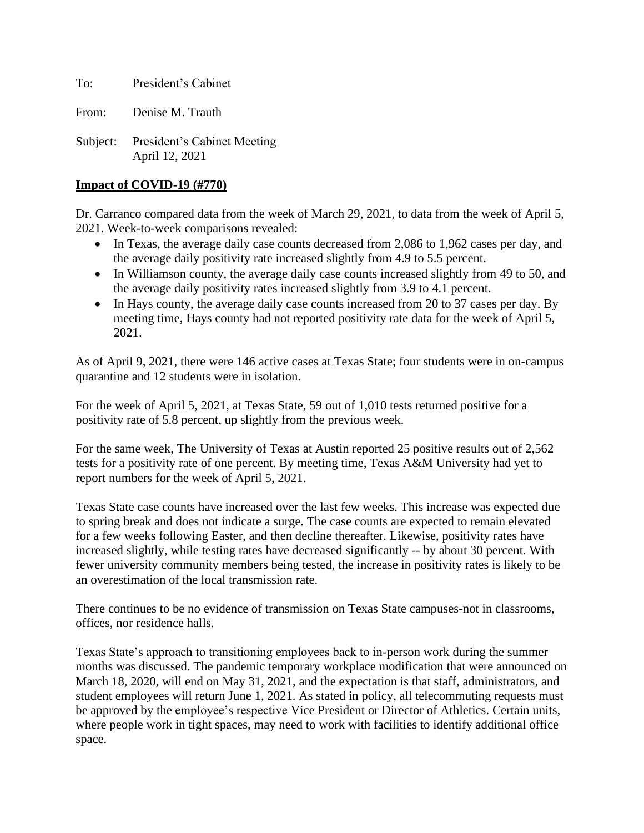To: President's Cabinet

From: Denise M. Trauth

Subject: President's Cabinet Meeting April 12, 2021

## **Impact of COVID-19 (#770)**

Dr. Carranco compared data from the week of March 29, 2021, to data from the week of April 5, 2021. Week-to-week comparisons revealed:

- In Texas, the average daily case counts decreased from 2,086 to 1,962 cases per day, and the average daily positivity rate increased slightly from 4.9 to 5.5 percent.
- In Williamson county, the average daily case counts increased slightly from 49 to 50, and the average daily positivity rates increased slightly from 3.9 to 4.1 percent.
- In Hays county, the average daily case counts increased from 20 to 37 cases per day. By meeting time, Hays county had not reported positivity rate data for the week of April 5, 2021.

As of April 9, 2021, there were 146 active cases at Texas State; four students were in on-campus quarantine and 12 students were in isolation.

For the week of April 5, 2021, at Texas State, 59 out of 1,010 tests returned positive for a positivity rate of 5.8 percent, up slightly from the previous week.

For the same week, The University of Texas at Austin reported 25 positive results out of 2,562 tests for a positivity rate of one percent. By meeting time, Texas A&M University had yet to report numbers for the week of April 5, 2021.

Texas State case counts have increased over the last few weeks. This increase was expected due to spring break and does not indicate a surge. The case counts are expected to remain elevated for a few weeks following Easter, and then decline thereafter. Likewise, positivity rates have increased slightly, while testing rates have decreased significantly -- by about 30 percent. With fewer university community members being tested, the increase in positivity rates is likely to be an overestimation of the local transmission rate.

There continues to be no evidence of transmission on Texas State campuses-not in classrooms, offices, nor residence halls.

Texas State's approach to transitioning employees back to in-person work during the summer months was discussed. The pandemic temporary workplace modification that were announced on March 18, 2020, will end on May 31, 2021, and the expectation is that staff, administrators, and student employees will return June 1, 2021. As stated in policy, all telecommuting requests must be approved by the employee's respective Vice President or Director of Athletics. Certain units, where people work in tight spaces, may need to work with facilities to identify additional office space.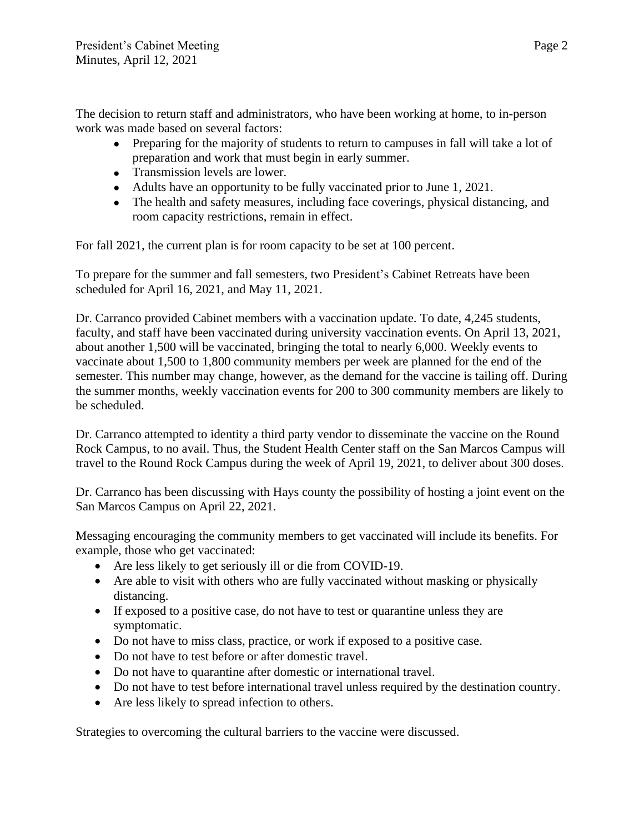The decision to return staff and administrators, who have been working at home, to in-person work was made based on several factors:

- Preparing for the majority of students to return to campuses in fall will take a lot of preparation and work that must begin in early summer.
- Transmission levels are lower.
- Adults have an opportunity to be fully vaccinated prior to June 1, 2021.
- The health and safety measures, including face coverings, physical distancing, and room capacity restrictions, remain in effect.

For fall 2021, the current plan is for room capacity to be set at 100 percent.

To prepare for the summer and fall semesters, two President's Cabinet Retreats have been scheduled for April 16, 2021, and May 11, 2021.

Dr. Carranco provided Cabinet members with a vaccination update. To date, 4,245 students, faculty, and staff have been vaccinated during university vaccination events. On April 13, 2021, about another 1,500 will be vaccinated, bringing the total to nearly 6,000. Weekly events to vaccinate about 1,500 to 1,800 community members per week are planned for the end of the semester. This number may change, however, as the demand for the vaccine is tailing off. During the summer months, weekly vaccination events for 200 to 300 community members are likely to be scheduled.

Dr. Carranco attempted to identity a third party vendor to disseminate the vaccine on the Round Rock Campus, to no avail. Thus, the Student Health Center staff on the San Marcos Campus will travel to the Round Rock Campus during the week of April 19, 2021, to deliver about 300 doses.

Dr. Carranco has been discussing with Hays county the possibility of hosting a joint event on the San Marcos Campus on April 22, 2021.

Messaging encouraging the community members to get vaccinated will include its benefits. For example, those who get vaccinated:

- Are less likely to get seriously ill or die from COVID-19.
- Are able to visit with others who are fully vaccinated without masking or physically distancing.
- If exposed to a positive case, do not have to test or quarantine unless they are symptomatic.
- Do not have to miss class, practice, or work if exposed to a positive case.
- Do not have to test before or after domestic travel.
- Do not have to quarantine after domestic or international travel.
- Do not have to test before international travel unless required by the destination country.
- Are less likely to spread infection to others.

Strategies to overcoming the cultural barriers to the vaccine were discussed.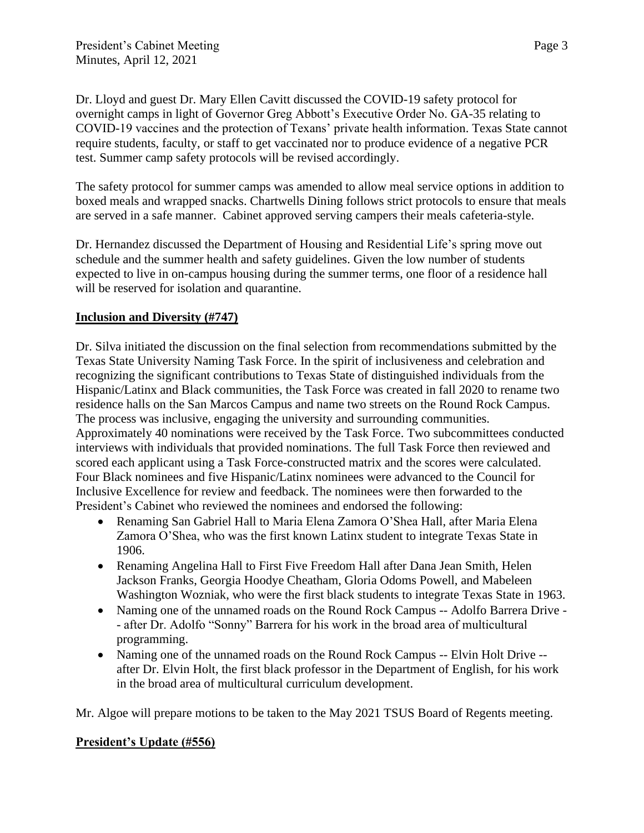Dr. Lloyd and guest Dr. Mary Ellen Cavitt discussed the COVID-19 safety protocol for overnight camps in light of Governor Greg Abbott's Executive Order No. GA-35 relating to COVID-19 vaccines and the protection of Texans' private health information. Texas State cannot require students, faculty, or staff to get vaccinated nor to produce evidence of a negative PCR test. Summer camp safety protocols will be revised accordingly.

The safety protocol for summer camps was amended to allow meal service options in addition to boxed meals and wrapped snacks. Chartwells Dining follows strict protocols to ensure that meals are served in a safe manner. Cabinet approved serving campers their meals cafeteria-style.

Dr. Hernandez discussed the Department of Housing and Residential Life's spring move out schedule and the summer health and safety guidelines. Given the low number of students expected to live in on-campus housing during the summer terms, one floor of a residence hall will be reserved for isolation and quarantine.

## **Inclusion and Diversity (#747)**

Dr. Silva initiated the discussion on the final selection from recommendations submitted by the Texas State University Naming Task Force. In the spirit of inclusiveness and celebration and recognizing the significant contributions to Texas State of distinguished individuals from the Hispanic/Latinx and Black communities, the Task Force was created in fall 2020 to rename two residence halls on the San Marcos Campus and name two streets on the Round Rock Campus. The process was inclusive, engaging the university and surrounding communities. Approximately 40 nominations were received by the Task Force. Two subcommittees conducted interviews with individuals that provided nominations. The full Task Force then reviewed and scored each applicant using a Task Force-constructed matrix and the scores were calculated. Four Black nominees and five Hispanic/Latinx nominees were advanced to the Council for Inclusive Excellence for review and feedback. The nominees were then forwarded to the President's Cabinet who reviewed the nominees and endorsed the following:

- Renaming San Gabriel Hall to Maria Elena Zamora O'Shea Hall, after Maria Elena Zamora O'Shea, who was the first known Latinx student to integrate Texas State in 1906.
- Renaming Angelina Hall to First Five Freedom Hall after Dana Jean Smith, Helen Jackson Franks, Georgia Hoodye Cheatham, Gloria Odoms Powell, and Mabeleen Washington Wozniak, who were the first black students to integrate Texas State in 1963.
- Naming one of the unnamed roads on the Round Rock Campus -- Adolfo Barrera Drive - after Dr. Adolfo "Sonny" Barrera for his work in the broad area of multicultural programming.
- Naming one of the unnamed roads on the Round Rock Campus -- Elvin Holt Drive after Dr. Elvin Holt, the first black professor in the Department of English, for his work in the broad area of multicultural curriculum development.

Mr. Algoe will prepare motions to be taken to the May 2021 TSUS Board of Regents meeting.

## **President's Update (#556)**